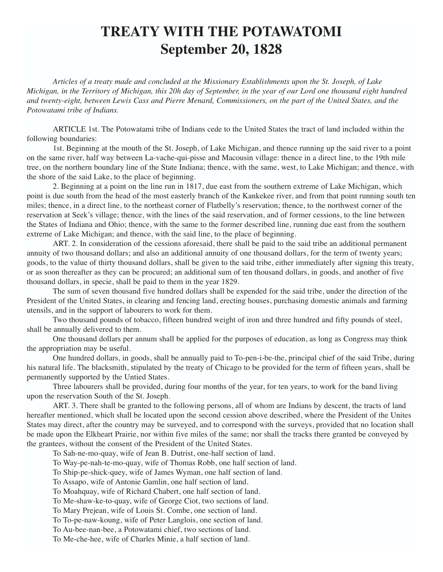## **TREATY WITH THE POTAWATOMI September 20, 1828**

*Articles of a treaty made and concluded at the Missionary Establishments upon the St. Joseph, of Lake Michigan, in the Territory of Michigan, this 20h day of September, in the year of our Lord one thousand eight hundred and twenty-eight, between Lewis Cass and Pierre Menard, Commissioners, on the part of the United States, and the Potowatami tribe of Indians.*

ARTICLE 1st. The Potowatami tribe of Indians cede to the United States the tract of land included within the following boundaries:

1st. Beginning at the mouth of the St. Joseph, of Lake Michigan, and thence running up the said river to a point on the same river, half way between La-vache-qui-pisse and Macousin village: thence in a direct line, to the 19th mile tree, on the northern boundary line of the State Indiana; thence, with the same, west, to Lake Michigan; and thence, with the shore of the said Lake, to the place of beginning.

2. Beginning at a point on the line run in 1817, due east from the southern extreme of Lake Michigan, which point is due south from the head of the most easterly branch of the Kankekee river, and from that point running south ten miles; thence, in a direct line, to the northeast corner of Flatbelly's reservation; thence, to the northwest corner of the reservation at Seek's village; thence, with the lines of the said reservation, and of former cessions, to the line between the States of Indiana and Ohio; thence, with the same to the former described line, running due east from the southern extreme of Lake Michigan; and thence, with the said line, to the place of beginning.

ART. 2. In consideration of the cessions aforesaid, there shall be paid to the said tribe an additional permanent annuity of two thousand dollars; and also an additional annuity of one thousand dollars, for the term of twenty years; goods, to the value of thirty thousand dollars, shall be given to the said tribe, either immediately after signing this treaty, or as soon thereafter as they can be procured; an additional sum of ten thousand dollars, in goods, and another of five thousand dollars, in specie, shall be paid to them in the year 1829.

The sum of seven thousand five hundred dollars shall be expended for the said tribe, under the direction of the President of the United States, in clearing and fencing land, erecting houses, purchasing domestic animals and farming utensils, and in the support of labourers to work for them.

Two thousand pounds of tobacco, fifteen hundred weight of iron and three hundred and fifty pounds of steel, shall be annually delivered to them.

One thousand dollars per annum shall be applied for the purposes of education, as long as Congress may think the appropriation may be useful.

One hundred dollars, in goods, shall be annually paid to To-pen-i-be-the, principal chief of the said Tribe, during his natural life. The blacksmith, stipulated by the treaty of Chicago to be provided for the term of fifteen years, shall be permanently supported by the Untied States.

Three labourers shall be provided, during four months of the year, for ten years, to work for the band living upon the reservation South of the St. Joseph.

ART. 3. There shall be granted to the following persons, all of whom are Indians by descent, the tracts of land hereafter mentioned, which shall be located upon the second cession above described, where the President of the Unites States may direct, after the country may be surveyed, and to correspond with the surveys, provided that no location shall be made upon the Elkheart Prairie, nor within five miles of the same; nor shall the tracks there granted be conveyed by the grantees, without the consent of the President of the United States.

To Sah-ne-mo-quay, wife of Jean B. Dutrist, one-half section of land.

To Way-pe-nah-te-mo-quay, wife of Thomas Robb, one half section of land.

To Ship-pe-shick-quey, wife of James Wyman, one half section of land.

To Assapo, wife of Antonie Gamlin, one half section of land.

To Moahquay, wife of Richard Chabert, one half section of land.

To Me-shaw-ke-to-quay, wife of George Ciot, two sections of land.

To Mary Prejean, wife of Louis St. Combe, one section of land.

To To-pe-naw-koung, wife of Peter Langlois, one section of land.

To Au-bee-nan-bee, a Potowatami chief, two sections of land.

To Me-che-hee, wife of Charles Minie, a half section of land.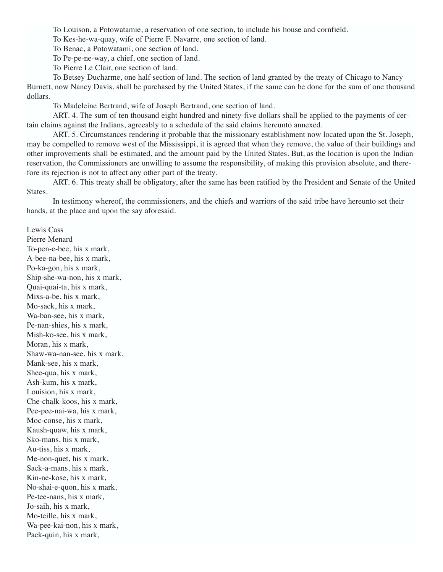To Louison, a Potowatamie, a reservation of one section, to include his house and cornfield.

To Kes-he-wa-quay, wife of Pierre F. Navarre, one section of land.

To Benac, a Potowatami, one section of land.

To Pe-pe-ne-way, a chief, one section of land.

To Pierre Le Clair, one section of land.

To Betsey Ducharme, one half section of land. The section of land granted by the treaty of Chicago to Nancy Burnett, now Nancy Davis, shall be purchased by the United States, if the same can be done for the sum of one thousand dollars.

To Madeleine Bertrand, wife of Joseph Bertrand, one section of land.

ART. 4. The sum of ten thousand eight hundred and ninety-five dollars shall be applied to the payments of certain claims against the Indians, agreeably to a schedule of the said claims hereunto annexed.

ART. 5. Circumstances rendering it probable that the missionary establishment now located upon the St. Joseph, may be compelled to remove west of the Mississippi, it is agreed that when they remove, the value of their buildings and other improvements shall be estimated, and the amount paid by the United States. But, as the location is upon the Indian reservation, the Commissioners are unwilling to assume the responsibility, of making this provision absolute, and therefore its rejection is not to affect any other part of the treaty.

ART. 6. This treaty shall be obligatory, after the same has been ratified by the President and Senate of the United States.

In testimony whereof, the commissioners, and the chiefs and warriors of the said tribe have hereunto set their hands, at the place and upon the say aforesaid.

Lewis Cass Pierre Menard To-pen-e-bee, his x mark, A-bee-na-bee, his x mark, Po-ka-gon, his x mark, Ship-she-wa-non, his x mark, Quai-quai-ta, his x mark, Mixs-a-be, his x mark, Mo-sack, his x mark, Wa-ban-see, his x mark, Pe-nan-shies, his x mark, Mish-ko-see, his x mark, Moran, his x mark, Shaw-wa-nan-see, his x mark, Mank-see, his x mark, Shee-qua, his x mark, Ash-kum, his x mark, Louision, his x mark, Che-chalk-koos, his x mark, Pee-pee-nai-wa, his x mark, Moc-conse, his x mark, Kaush-quaw, his x mark, Sko-mans, his x mark, Au-tiss, his x mark, Me-non-quet, his x mark, Sack-a-mans, his x mark, Kin-ne-kose, his x mark, No-shai-e-quon, his x mark, Pe-tee-nans, his x mark, Jo-saih, his x mark, Mo-teille, his x mark, Wa-pee-kai-non, his x mark, Pack-quin, his x mark,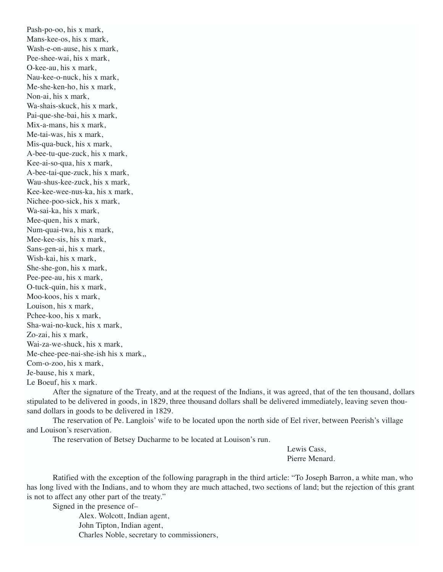Pash-po-oo, his x mark, Mans-kee-os, his x mark, Wash-e-on-ause, his x mark, Pee-shee-wai, his x mark, O-kee-au, his x mark, Nau-kee-o-nuck, his x mark, Me-she-ken-ho, his x mark, Non-ai, his x mark, Wa-shais-skuck, his x mark, Pai-que-she-bai, his x mark, Mix-a-mans, his x mark, Me-tai-was, his x mark, Mis-qua-buck, his x mark, A-bee-tu-que-zuck, his x mark, Kee-ai-so-qua, his x mark, A-bee-tai-que-zuck, his x mark, Wau-shus-kee-zuck, his x mark, Kee-kee-wee-nus-ka, his x mark, Nichee-poo-sick, his x mark, Wa-sai-ka, his x mark, Mee-quen, his x mark, Num-quai-twa, his x mark, Mee-kee-sis, his x mark, Sans-gen-ai, his x mark, Wish-kai, his x mark, She-she-gon, his x mark, Pee-pee-au, his x mark, O-tuck-quin, his x mark, Moo-koos, his x mark, Louison, his x mark, Pchee-koo, his x mark, Sha-wai-no-kuck, his x mark, Zo-zai, his x mark, Wai-za-we-shuck, his x mark, Me-chee-pee-nai-she-ish his x mark,, Com-o-zoo, his x mark, Je-bause, his x mark, Le Boeuf, his x mark.

After the signature of the Treaty, and at the request of the Indians, it was agreed, that of the ten thousand, dollars stipulated to be delivered in goods, in 1829, three thousand dollars shall be delivered immediately, leaving seven thousand dollars in goods to be delivered in 1829.

The reservation of Pe. Langlois' wife to be located upon the north side of Eel river, between Peerish's village and Louison's reservation.

The reservation of Betsey Ducharme to be located at Louison's run.

Lewis Cass, Pierre Menard.

Ratified with the exception of the following paragraph in the third article: "To Joseph Barron, a white man, who has long lived with the Indians, and to whom they are much attached, two sections of land; but the rejection of this grant is not to affect any other part of the treaty."

Signed in the presence of–

Alex. Wolcott, Indian agent, John Tipton, Indian agent, Charles Noble, secretary to commissioners,